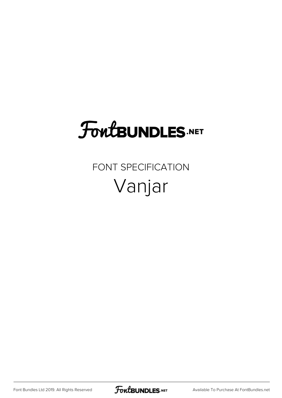# FoutBUNDLES.NET

## FONT SPECIFICATION Vanjar

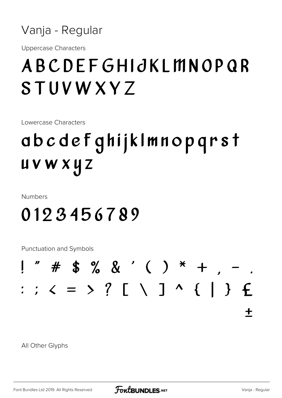Vanja - Regular

**Uppercase Characters** 

# ABCDEFGHIJKLMNOPQR STUVWXY7

Lowercase Characters

# abcdefghijklmnopqrst uvwxyz

**Numbers** 

# 0123456789

Punctuation and Symbols

### " # \$ % & ' ( ) \* + ,  $\overline{\mathbf{I}}$ : ;  $\langle$  = > ? [ \ ] ^ { | } f ╋

All Other Glyphs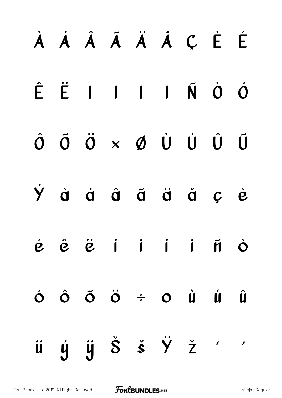## À Á Â Ã Ä Ä Å Ç È É  $E$   $I$   $I$   $I$   $\tilde{N}$   $\dot{O}$   $\dot{O}$  $\hat{\mathsf{E}}$  $\hat{0}$   $\tilde{0}$   $\tilde{0}$   $\times$   $\emptyset$   $\dot{0}$   $\dot{0}$  $\tilde{U}$ à á â ã ä å Ý  $C$   $\dot{C}$  $\hat{e}$   $\ddot{e}$  i i i  $\acute{\mathrm{e}}$ ñ ò  $\hat{O}$   $\tilde{O}$   $\tilde{O}$   $\div$   $O$   $\dot{\mathbf{u}}$  $\acute{\mathbf{O}}$  $\hat{u}$ **i**  $\dot{y}$   $\ddot{y}$   $\dot{\varepsilon}$   $\dot{y}$   $\dot{z}$ ü  $\sqrt{2}$  $\overline{\phantom{a}}$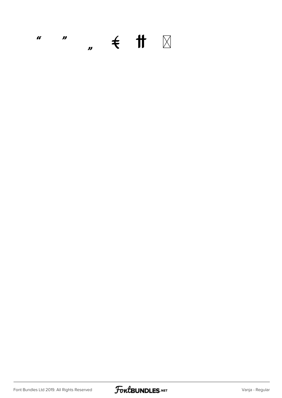#### ,  $\star$   $\parallel$   $\parallel$  $\frac{1}{2}$

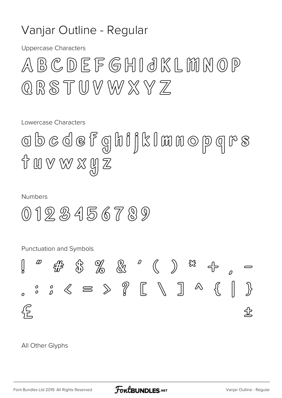### Vanjar Outline - Regular

**Uppercase Characters** 

ABCDEFGHIJKLMNOP QRSTUVWXYZ

Lowercase Characters

 $\text{ of } \mathbb{D} \text{ is defined as } \mathbb{F} \text{ is a linear combination of } \mathbb{F} \text{ is a linear combination of } \mathbb{F} \text{ is a linear combination of } \mathbb{F} \text{ is a linear combination of } \mathbb{F} \text{ is a linear combination of } \mathbb{F} \text{ is a linear combination of } \mathbb{F} \text{ is a linear combination of } \mathbb{F} \text{ is a linear combination of } \mathbb{F} \text{ is a linear combination of } \mathbb{F} \text{ is a linear combination of } \mathbb{F} \text{ is a linear combination of } \mathbb{F} \text{ is a linear combination of } \mathbb{F} \text{ is a linear combination of } \mathbb{F} \$ t wwxyz

#### **Numbers**

 $0122456789$ 

Punctuation and Symbols



All Other Glyphs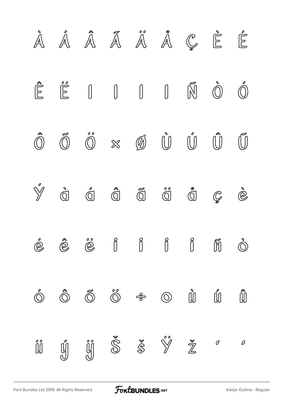